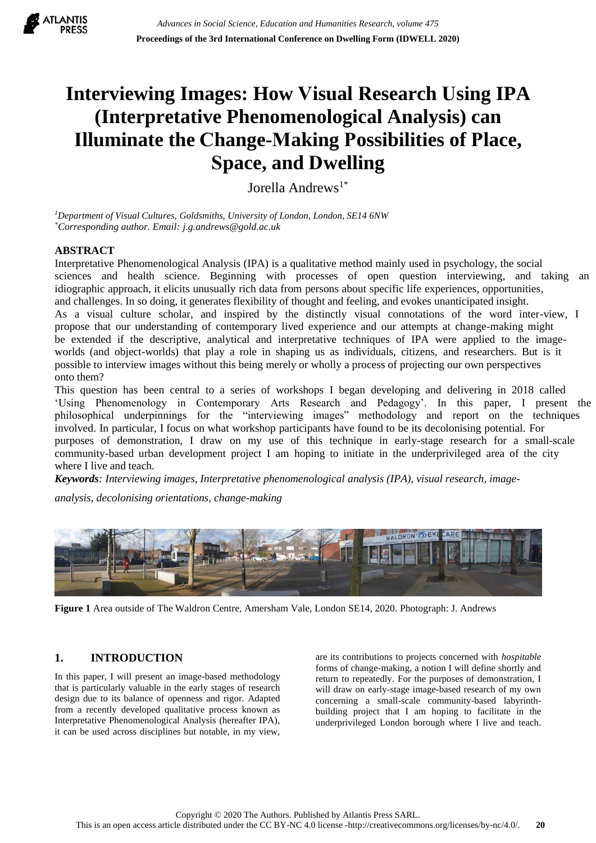

# **Interviewing Images: How Visual Research Using IPA (Interpretative Phenomenological Analysis) can Illuminate the Change-Making Possibilities of Place, Space, and Dwelling**

Jorella Andrews<sup>1\*</sup>

*<sup>1</sup>Department of Visual Cultures, Goldsmiths, University of London, London, SE14 6NW \*Corresponding author. Email: j.g.andrews@gold.ac.uk*

## **ABSTRACT**

Interpretative Phenomenological Analysis (IPA) is a qualitative method mainly used in psychology, the social sciences and health science. Beginning with processes of open question interviewing, and taking an idiographic approach, it elicits unusually rich data from persons about specific life experiences, opportunities, and challenges. In so doing, it generates flexibility of thought and feeling, and evokes unanticipated insight. As a visual culture scholar, and inspired by the distinctly visual connotations of the word inter-view, I propose that our understanding of contemporary lived experience and our attempts at change-making might be extended if the descriptive, analytical and interpretative techniques of IPA were applied to the imageworlds (and object-worlds) that play a role in shaping us as individuals, citizens, and researchers. But is it possible to interview images without this being merely or wholly a process of projecting our own perspectives onto them?

This question has been central to a series of workshops I began developing and delivering in 2018 called 'Using Phenomenology in Contemporary Arts Research and Pedagogy'. In this paper, I present the philosophical underpinnings for the "interviewing images" methodology and report on the techniques involved. In particular, I focus on what workshop participants have found to be its decolonising potential. For purposes of demonstration, I draw on my use of this technique in early-stage research for a small-scale community-based urban development project I am hoping to initiate in the underprivileged area of the city where I live and teach.

*Keywords: Interviewing images, Interpretative phenomenological analysis (IPA), visual research, image-*

*analysis, decolonising orientations, change-making* 



**Figure 1** Area outside of The Waldron Centre, Amersham Vale, London SE14, 2020. Photograph: J. Andrews

## **1. INTRODUCTION**

In this paper, I will present an image-based methodology that is particularly valuable in the early stages of research design due to its balance of openness and rigor. Adapted from a recently developed qualitative process known as Interpretative Phenomenological Analysis (hereafter IPA), it can be used across disciplines but notable, in my view,

are its contributions to projects concerned with *hospitable* forms of change-making, a notion I will define shortly and return to repeatedly. For the purposes of demonstration, I will draw on early-stage image-based research of my own concerning a small-scale community-based labyrinthbuilding project that I am hoping to facilitate in the underprivileged London borough where I live and teach.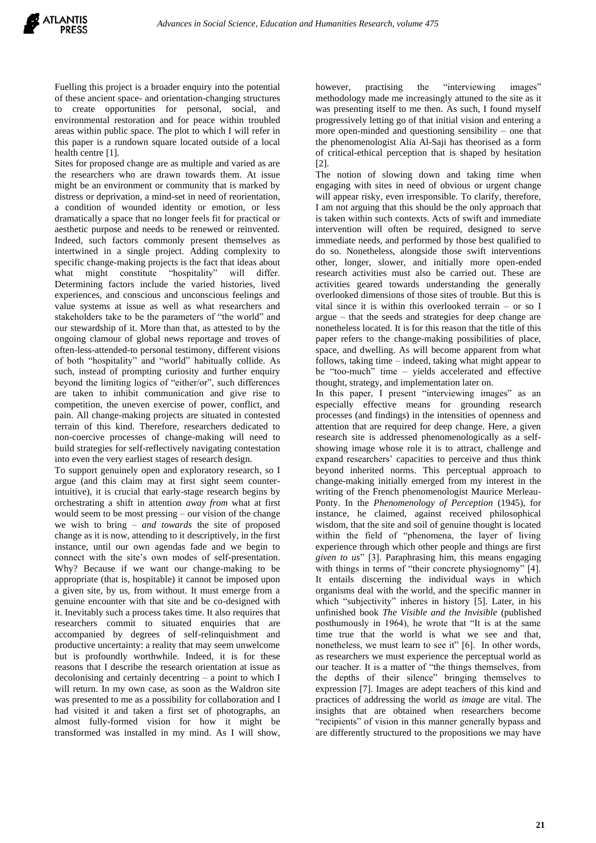Fuelling this project is a broader enquiry into the potential of these ancient space- and orientation-changing structures to create opportunities for personal, social, and environmental restoration and for peace within troubled areas within public space. The plot to which I will refer in this paper is a rundown square located outside of a local health centre [1].

Sites for proposed change are as multiple and varied as are the researchers who are drawn towards them. At issue might be an environment or community that is marked by distress or deprivation, a mind-set in need of reorientation, a condition of wounded identity or emotion, or less dramatically a space that no longer feels fit for practical or aesthetic purpose and needs to be renewed or reinvented. Indeed, such factors commonly present themselves as intertwined in a single project. Adding complexity to specific change-making projects is the fact that ideas about what might constitute "hospitality" will differ. Determining factors include the varied histories, lived experiences, and conscious and unconscious feelings and value systems at issue as well as what researchers and stakeholders take to be the parameters of "the world" and our stewardship of it. More than that, as attested to by the ongoing clamour of global news reportage and troves of often-less-attended-to personal testimony, different visions of both "hospitality" and "world" habitually collide. As such, instead of prompting curiosity and further enquiry beyond the limiting logics of "either/or", such differences are taken to inhibit communication and give rise to competition, the uneven exercise of power, conflict, and pain. All change-making projects are situated in contested terrain of this kind. Therefore, researchers dedicated to non-coercive processes of change-making will need to build strategies for self-reflectively navigating contestation into even the very earliest stages of research design.

To support genuinely open and exploratory research, so I argue (and this claim may at first sight seem counterintuitive), it is crucial that early-stage research begins by orchestrating a shift in attention *away from* what at first would seem to be most pressing – our vision of the change we wish to bring – *and towards* the site of proposed change as it is now, attending to it descriptively, in the first instance, until our own agendas fade and we begin to connect with the site's own modes of self-presentation. Why? Because if we want our change-making to be appropriate (that is, hospitable) it cannot be imposed upon a given site, by us, from without. It must emerge from a genuine encounter with that site and be co-designed with it. Inevitably such a process takes time. It also requires that researchers commit to situated enquiries that are accompanied by degrees of self-relinquishment and productive uncertainty: a reality that may seem unwelcome but is profoundly worthwhile. Indeed, it is for these reasons that I describe the research orientation at issue as decolonising and certainly decentring – a point to which I will return. In my own case, as soon as the Waldron site was presented to me as a possibility for collaboration and I had visited it and taken a first set of photographs, an almost fully-formed vision for how it might be transformed was installed in my mind. As I will show,

however, practising the "interviewing images" methodology made me increasingly attuned to the site as it was presenting itself to me then. As such, I found myself progressively letting go of that initial vision and entering a more open-minded and questioning sensibility – one that the phenomenologist Alia Al-Saji has theorised as a form of critical-ethical perception that is shaped by hesitation [2].

The notion of slowing down and taking time when engaging with sites in need of obvious or urgent change will appear risky, even irresponsible. To clarify, therefore, I am not arguing that this should be the only approach that is taken within such contexts. Acts of swift and immediate intervention will often be required, designed to serve immediate needs, and performed by those best qualified to do so. Nonetheless, alongside those swift interventions other, longer, slower, and initially more open-ended research activities must also be carried out. These are activities geared towards understanding the generally overlooked dimensions of those sites of trouble. But this is vital since it is within this overlooked terrain – or so I argue – that the seeds and strategies for deep change are nonetheless located. It is for this reason that the title of this paper refers to the change-making possibilities of place, space, and dwelling. As will become apparent from what follows, taking time – indeed, taking what might appear to be "too-much" time – yields accelerated and effective thought, strategy, and implementation later on.

In this paper, I present "interviewing images" as an especially effective means for grounding research processes (and findings) in the intensities of openness and attention that are required for deep change. Here, a given research site is addressed phenomenologically as a selfshowing image whose role it is to attract, challenge and expand researchers' capacities to perceive and thus think beyond inherited norms. This perceptual approach to change-making initially emerged from my interest in the writing of the French phenomenologist Maurice Merleau-Ponty. In the *Phenomenology of Perception* (1945), for instance, he claimed, against received philosophical wisdom, that the site and soil of genuine thought is located within the field of "phenomena, the layer of living experience through which other people and things are first *given to us*" [3]. Paraphrasing him, this means engaging with things in terms of "their concrete physiognomy" [4]. It entails discerning the individual ways in which organisms deal with the world, and the specific manner in which "subjectivity" inheres in history [5]. Later, in his unfinished book *The Visible and the Invisible* (published posthumously in 1964), he wrote that "It is at the same time true that the world is what we see and that, nonetheless, we must learn to see it" [6]. In other words, as researchers we must experience the perceptual world as our teacher. It is a matter of "the things themselves, from the depths of their silence" bringing themselves to expression [7]. Images are adept teachers of this kind and practices of addressing the world *as image* are vital. The insights that are obtained when researchers become "recipients" of vision in this manner generally bypass and are differently structured to the propositions we may have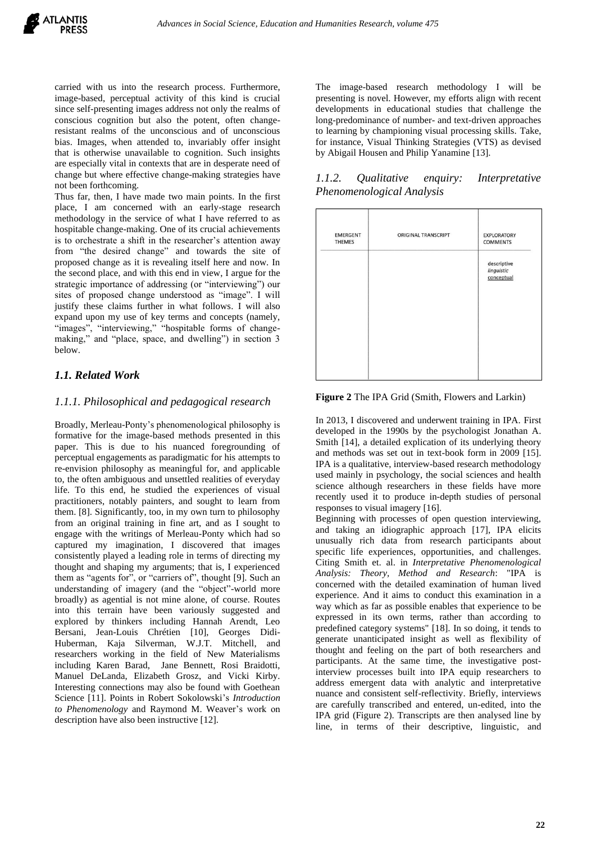carried with us into the research process. Furthermore, image-based, perceptual activity of this kind is crucial since self-presenting images address not only the realms of conscious cognition but also the potent, often changeresistant realms of the unconscious and of unconscious bias. Images, when attended to, invariably offer insight that is otherwise unavailable to cognition. Such insights are especially vital in contexts that are in desperate need of change but where effective change-making strategies have not been forthcoming.

Thus far, then, I have made two main points. In the first place, I am concerned with an early-stage research methodology in the service of what I have referred to as hospitable change-making. One of its crucial achievements is to orchestrate a shift in the researcher's attention away from "the desired change" and towards the site of proposed change as it is revealing itself here and now. In the second place, and with this end in view, I argue for the strategic importance of addressing (or "interviewing") our sites of proposed change understood as "image". I will justify these claims further in what follows. I will also expand upon my use of key terms and concepts (namely, "images", "interviewing," "hospitable forms of changemaking," and "place, space, and dwelling") in section 3 below.

## *1.1. Related Work*

#### *1.1.1. Philosophical and pedagogical research*

Broadly, Merleau-Ponty's phenomenological philosophy is formative for the image-based methods presented in this paper. This is due to his nuanced foregrounding of perceptual engagements as paradigmatic for his attempts to re-envision philosophy as meaningful for, and applicable to, the often ambiguous and unsettled realities of everyday life. To this end, he studied the experiences of visual practitioners, notably painters, and sought to learn from them. [8]. Significantly, too, in my own turn to philosophy from an original training in fine art, and as I sought to engage with the writings of Merleau-Ponty which had so captured my imagination, I discovered that images consistently played a leading role in terms of directing my thought and shaping my arguments; that is, I experienced them as "agents for", or "carriers of", thought [9]. Such an understanding of imagery (and the "object"-world more broadly) as agential is not mine alone, of course. Routes into this terrain have been variously suggested and explored by thinkers including Hannah Arendt, Leo Bersani, Jean-Louis Chrétien [10], Georges Didi-Huberman, Kaja Silverman, W.J.T. Mitchell, and researchers working in the field of New Materialisms including Karen Barad, Jane Bennett, Rosi Braidotti, Manuel DeLanda, Elizabeth Grosz, and Vicki Kirby. Interesting connections may also be found with Goethean Science [11]. Points in Robert Sokolowski's *Introduction to Phenomenology* and Raymond M. Weaver's work on description have also been instructive [12].

The image-based research methodology I will be presenting is novel. However, my efforts align with recent developments in educational studies that challenge the long-predominance of number- and text-driven approaches to learning by championing visual processing skills. Take, for instance, Visual Thinking Strategies (VTS) as devised by Abigail Housen and Philip Yanamine [13].

*1.1.2. Qualitative enquiry: Interpretative Phenomenological Analysis*

| EMERGENT<br><b>THEMES</b> | ORIGINAL TRANSCRIPT | <b>EXPLORATORY</b><br><b>COMMENTS</b>   |
|---------------------------|---------------------|-----------------------------------------|
|                           |                     | descriptive<br>linguistic<br>conceptual |
|                           |                     |                                         |
|                           |                     |                                         |
|                           |                     |                                         |

#### **Figure 2** The IPA Grid (Smith, Flowers and Larkin)

In 2013, I discovered and underwent training in IPA. First developed in the 1990s by the psychologist Jonathan A. Smith [14], a detailed explication of its underlying theory and methods was set out in text-book form in 2009 [15]. IPA is a qualitative, interview-based research methodology used mainly in psychology, the social sciences and health science although researchers in these fields have more recently used it to produce in-depth studies of personal responses to visual imagery [16].

Beginning with processes of open question interviewing, and taking an idiographic approach [17], IPA elicits unusually rich data from research participants about specific life experiences, opportunities, and challenges. Citing Smith et. al. in *Interpretative Phenomenological Analysis: Theory, Method and Research*: "IPA is concerned with the detailed examination of human lived experience. And it aims to conduct this examination in a way which as far as possible enables that experience to be expressed in its own terms, rather than according to predefined category systems" [18]. In so doing, it tends to generate unanticipated insight as well as flexibility of thought and feeling on the part of both researchers and participants. At the same time, the investigative postinterview processes built into IPA equip researchers to address emergent data with analytic and interpretative nuance and consistent self-reflectivity. Briefly, interviews are carefully transcribed and entered, un-edited, into the IPA grid (Figure 2). Transcripts are then analysed line by line, in terms of their descriptive, linguistic, and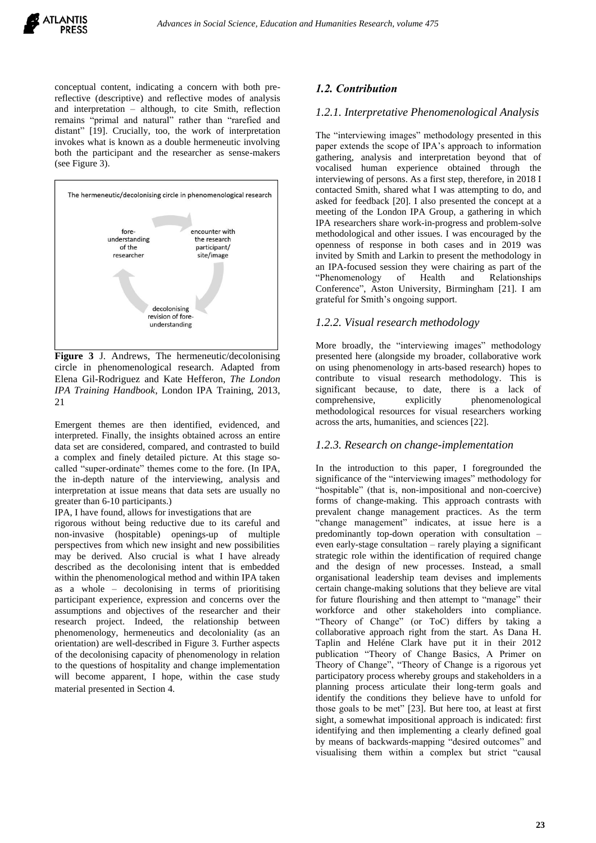conceptual content, indicating a concern with both prereflective (descriptive) and reflective modes of analysis and interpretation – although, to cite Smith, reflection remains "primal and natural" rather than "rarefied and distant" [19]. Crucially, too, the work of interpretation invokes what is known as a double hermeneutic involving both the participant and the researcher as sense-makers (see Figure 3).



**Figure 3** J. Andrews, The hermeneutic/decolonising circle in phenomenological research. Adapted from Elena Gil-Rodriguez and Kate Hefferon, *The London IPA Training Handbook*, London IPA Training, 2013, 21

Emergent themes are then identified, evidenced, and interpreted. Finally, the insights obtained across an entire data set are considered, compared, and contrasted to build a complex and finely detailed picture. At this stage socalled "super-ordinate" themes come to the fore. (In IPA, the in-depth nature of the interviewing, analysis and interpretation at issue means that data sets are usually no greater than 6-10 participants.)

IPA, I have found, allows for investigations that are

rigorous without being reductive due to its careful and non-invasive (hospitable) openings-up of multiple perspectives from which new insight and new possibilities may be derived. Also crucial is what I have already described as the decolonising intent that is embedded within the phenomenological method and within IPA taken as a whole – decolonising in terms of prioritising participant experience, expression and concerns over the assumptions and objectives of the researcher and their research project. Indeed, the relationship between phenomenology, hermeneutics and decoloniality (as an orientation) are well-described in Figure 3. Further aspects of the decolonising capacity of phenomenology in relation to the questions of hospitality and change implementation will become apparent, I hope, within the case study material presented in Section 4.

## *1.2. Contribution*

#### *1.2.1. Interpretative Phenomenological Analysis*

The "interviewing images" methodology presented in this paper extends the scope of IPA's approach to information gathering, analysis and interpretation beyond that of vocalised human experience obtained through the interviewing of persons. As a first step, therefore, in 2018 I contacted Smith, shared what I was attempting to do, and asked for feedback [20]. I also presented the concept at a meeting of the London IPA Group, a gathering in which IPA researchers share work-in-progress and problem-solve methodological and other issues. I was encouraged by the openness of response in both cases and in 2019 was invited by Smith and Larkin to present the methodology in an IPA-focused session they were chairing as part of the "Phenomenology of Health and Relationships Conference", Aston University, Birmingham [21]. I am grateful for Smith's ongoing support.

#### *1.2.2. Visual research methodology*

More broadly, the "interviewing images" methodology presented here (alongside my broader, collaborative work on using phenomenology in arts-based research) hopes to contribute to visual research methodology. This is significant because, to date, there is a lack of comprehensive, explicitly phenomenological methodological resources for visual researchers working across the arts, humanities, and sciences [22].

#### *1.2.3. Research on change-implementation*

In the introduction to this paper, I foregrounded the significance of the "interviewing images" methodology for "hospitable" (that is, non-impositional and non-coercive) forms of change-making. This approach contrasts with prevalent change management practices. As the term "change management" indicates, at issue here is a predominantly top-down operation with consultation – even early-stage consultation – rarely playing a significant strategic role within the identification of required change and the design of new processes. Instead, a small organisational leadership team devises and implements certain change-making solutions that they believe are vital for future flourishing and then attempt to "manage" their workforce and other stakeholders into compliance. "Theory of Change" (or ToC) differs by taking a collaborative approach right from the start. As Dana H. Taplin and Heléne Clark have put it in their 2012 publication "Theory of Change Basics, A Primer on Theory of Change", "Theory of Change is a rigorous yet participatory process whereby groups and stakeholders in a planning process articulate their long-term goals and identify the conditions they believe have to unfold for those goals to be met" [23]. But here too, at least at first sight, a somewhat impositional approach is indicated: first identifying and then implementing a clearly defined goal by means of backwards-mapping "desired outcomes" and visualising them within a complex but strict "causal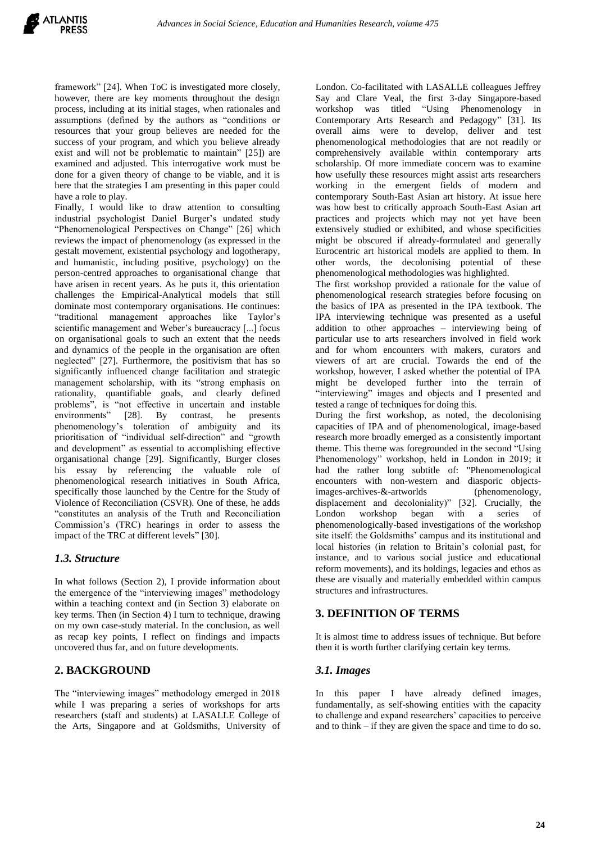framework" [24]. When ToC is investigated more closely, however, there are key moments throughout the design process, including at its initial stages, when rationales and assumptions (defined by the authors as "conditions or resources that your group believes are needed for the success of your program, and which you believe already exist and will not be problematic to maintain" [25]) are examined and adjusted. This interrogative work must be done for a given theory of change to be viable, and it is here that the strategies I am presenting in this paper could have a role to play.

Finally, I would like to draw attention to consulting industrial psychologist Daniel Burger's undated study "Phenomenological Perspectives on Change" [26] which reviews the impact of phenomenology (as expressed in the gestalt movement, existential psychology and logotherapy, and humanistic, including positive, psychology) on the person-centred approaches to organisational change that have arisen in recent years. As he puts it, this orientation challenges the Empirical-Analytical models that still dominate most contemporary organisations. He continues: "traditional management approaches like Taylor's scientific management and Weber's bureaucracy [...] focus on organisational goals to such an extent that the needs and dynamics of the people in the organisation are often neglected" [27]. Furthermore, the positivism that has so significantly influenced change facilitation and strategic management scholarship, with its "strong emphasis on rationality, quantifiable goals, and clearly defined problems", is "not effective in uncertain and instable environments" [28]. By contrast, he presents environments" [28]. By contrast, he presents<br>phenomenology's toleration of ambiguity and its prioritisation of "individual self-direction" and "growth and development" as essential to accomplishing effective organisational change [29]. Significantly, Burger closes his essay by referencing the valuable role of phenomenological research initiatives in South Africa, specifically those launched by the Centre for the Study of Violence of Reconciliation (CSVR). One of these, he adds "constitutes an analysis of the Truth and Reconciliation Commission's (TRC) hearings in order to assess the impact of the TRC at different levels" [30].

## *1.3. Structure*

In what follows (Section 2), I provide information about the emergence of the "interviewing images" methodology within a teaching context and (in Section 3) elaborate on key terms. Then (in Section 4) I turn to technique, drawing on my own case-study material. In the conclusion, as well as recap key points, I reflect on findings and impacts uncovered thus far, and on future developments.

## **2. BACKGROUND**

The "interviewing images" methodology emerged in 2018 while I was preparing a series of workshops for arts researchers (staff and students) at LASALLE College of the Arts, Singapore and at Goldsmiths, University of

London. Co-facilitated with LASALLE colleagues Jeffrey Say and Clare Veal, the first 3-day Singapore-based workshop was titled "Using Phenomenology in Contemporary Arts Research and Pedagogy" [31]. Its overall aims were to develop, deliver and test phenomenological methodologies that are not readily or comprehensively available within contemporary arts scholarship. Of more immediate concern was to examine how usefully these resources might assist arts researchers working in the emergent fields of modern and contemporary South-East Asian art history. At issue here was how best to critically approach South-East Asian art practices and projects which may not yet have been extensively studied or exhibited, and whose specificities might be obscured if already-formulated and generally Eurocentric art historical models are applied to them. In other words, the decolonising potential of these phenomenological methodologies was highlighted.

The first workshop provided a rationale for the value of phenomenological research strategies before focusing on the basics of IPA as presented in the IPA textbook. The IPA interviewing technique was presented as a useful addition to other approaches – interviewing being of particular use to arts researchers involved in field work and for whom encounters with makers, curators and viewers of art are crucial. Towards the end of the workshop, however, I asked whether the potential of IPA might be developed further into the terrain of "interviewing" images and objects and I presented and tested a range of techniques for doing this.

During the first workshop, as noted, the decolonising capacities of IPA and of phenomenological, image-based research more broadly emerged as a consistently important theme. This theme was foregrounded in the second "Using Phenomenology" workshop, held in London in 2019; it had the rather long subtitle of: "Phenomenological encounters with non-western and diasporic objectsimages-archives-&-artworlds (phenomenology, displacement and decoloniality)" [32]. Crucially, the London workshop began with a series of phenomenologically-based investigations of the workshop site itself: the Goldsmiths' campus and its institutional and local histories (in relation to Britain's colonial past, for instance, and to various social justice and educational reform movements), and its holdings, legacies and ethos as these are visually and materially embedded within campus structures and infrastructures.

## **3. DEFINITION OF TERMS**

It is almost time to address issues of technique. But before then it is worth further clarifying certain key terms.

#### *3.1. Images*

In this paper I have already defined images, fundamentally, as self-showing entities with the capacity to challenge and expand researchers' capacities to perceive and to think – if they are given the space and time to do so.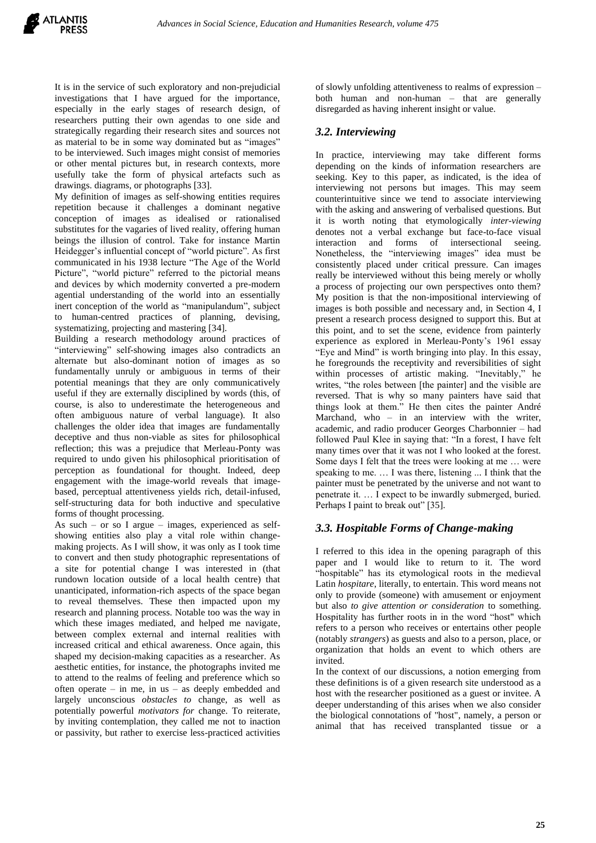It is in the service of such exploratory and non-prejudicial investigations that I have argued for the importance, especially in the early stages of research design, of researchers putting their own agendas to one side and strategically regarding their research sites and sources not as material to be in some way dominated but as "images" to be interviewed. Such images might consist of memories or other mental pictures but, in research contexts, more usefully take the form of physical artefacts such as drawings. diagrams, or photographs [33].

My definition of images as self-showing entities requires repetition because it challenges a dominant negative conception of images as idealised or rationalised substitutes for the vagaries of lived reality, offering human beings the illusion of control. Take for instance Martin Heidegger's influential concept of "world picture". As first communicated in his 1938 lecture "The Age of the World Picture", "world picture" referred to the pictorial means and devices by which modernity converted a pre-modern agential understanding of the world into an essentially inert conception of the world as "manipulandum", subject to human-centred practices of planning, devising, systematizing, projecting and mastering [34].

Building a research methodology around practices of "interviewing" self-showing images also contradicts an alternate but also-dominant notion of images as so fundamentally unruly or ambiguous in terms of their potential meanings that they are only communicatively useful if they are externally disciplined by words (this, of course, is also to underestimate the heterogeneous and often ambiguous nature of verbal language). It also challenges the older idea that images are fundamentally deceptive and thus non-viable as sites for philosophical reflection; this was a prejudice that Merleau-Ponty was required to undo given his philosophical prioritisation of perception as foundational for thought. Indeed, deep engagement with the image-world reveals that imagebased, perceptual attentiveness yields rich, detail-infused, self-structuring data for both inductive and speculative forms of thought processing.

As such – or so I argue – images, experienced as selfshowing entities also play a vital role within changemaking projects. As I will show, it was only as I took time to convert and then study photographic representations of a site for potential change I was interested in (that rundown location outside of a local health centre) that unanticipated, information-rich aspects of the space began to reveal themselves. These then impacted upon my research and planning process. Notable too was the way in which these images mediated, and helped me navigate, between complex external and internal realities with increased critical and ethical awareness. Once again, this shaped my decision-making capacities as a researcher. As aesthetic entities, for instance, the photographs invited me to attend to the realms of feeling and preference which so often operate – in me, in us – as deeply embedded and largely unconscious *obstacles to* change, as well as potentially powerful *motivators for* change. To reiterate, by inviting contemplation, they called me not to inaction or passivity, but rather to exercise less-practiced activities of slowly unfolding attentiveness to realms of expression – both human and non-human – that are generally disregarded as having inherent insight or value.

## *3.2. Interviewing*

In practice, interviewing may take different forms depending on the kinds of information researchers are seeking. Key to this paper, as indicated, is the idea of interviewing not persons but images. This may seem counterintuitive since we tend to associate interviewing with the asking and answering of verbalised questions. But it is worth noting that etymologically *inter-viewing* denotes not a verbal exchange but face-to-face visual interaction and forms of intersectional seeing. Nonetheless, the "interviewing images" idea must be consistently placed under critical pressure. Can images really be interviewed without this being merely or wholly a process of projecting our own perspectives onto them? My position is that the non-impositional interviewing of images is both possible and necessary and, in Section 4, I present a research process designed to support this. But at this point, and to set the scene, evidence from painterly experience as explored in Merleau-Ponty's 1961 essay "Eye and Mind" is worth bringing into play. In this essay, he foregrounds the receptivity and reversibilities of sight within processes of artistic making. "Inevitably," he writes, "the roles between [the painter] and the visible are reversed. That is why so many painters have said that things look at them." He then cites the painter André Marchand, who – in an interview with the writer, academic, and radio producer Georges Charbonnier – had followed Paul Klee in saying that: "In a forest, I have felt many times over that it was not I who looked at the forest. Some days I felt that the trees were looking at me … were speaking to me. ... I was there, listening ... I think that the painter must be penetrated by the universe and not want to penetrate it. … I expect to be inwardly submerged, buried. Perhaps I paint to break out" [35].

## *3.3. Hospitable Forms of Change-making*

I referred to this idea in the opening paragraph of this paper and I would like to return to it. The word "hospitable" has its etymological roots in the medieval Latin *hospitare*, literally, to entertain. This word means not only to provide (someone) with amusement or enjoyment but also *to give attention or consideration* to something. Hospitality has further roots in in the word "host" which refers to a person who receives or entertains other people (notably *strangers*) as guests and also to a person, place, or organization that holds an event to which others are invited.

In the context of our discussions, a notion emerging from these definitions is of a given research site understood as a host with the researcher positioned as a guest or invitee. A deeper understanding of this arises when we also consider the biological connotations of "host", namely, a person or animal that has received transplanted tissue or a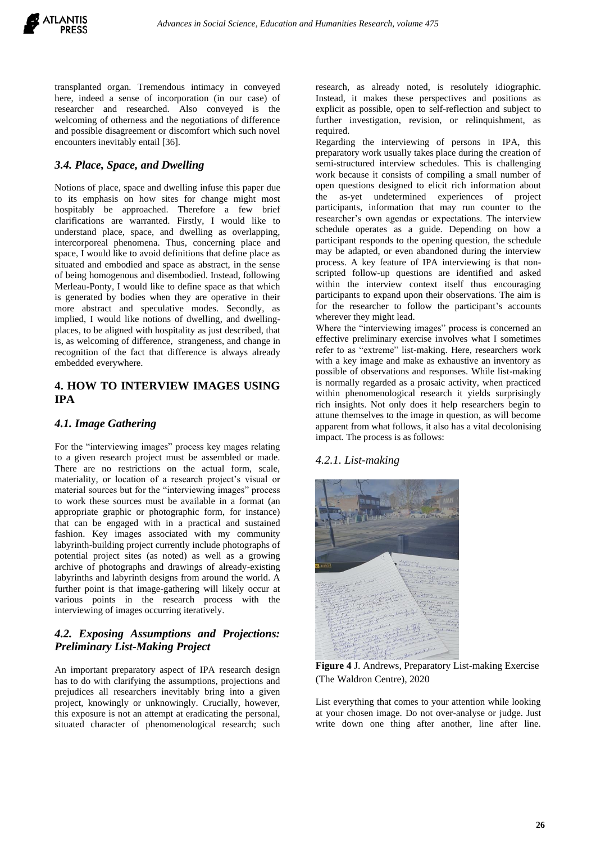transplanted organ. Tremendous intimacy in conveyed here, indeed a sense of incorporation (in our case) of researcher and researched. Also conveyed is the welcoming of otherness and the negotiations of difference and possible disagreement or discomfort which such novel encounters inevitably entail [36].

## *3.4. Place, Space, and Dwelling*

Notions of place, space and dwelling infuse this paper due to its emphasis on how sites for change might most hospitably be approached. Therefore a few brief clarifications are warranted. Firstly, I would like to understand place, space, and dwelling as overlapping, intercorporeal phenomena. Thus, concerning place and space, I would like to avoid definitions that define place as situated and embodied and space as abstract, in the sense of being homogenous and disembodied. Instead, following Merleau-Ponty, I would like to define space as that which is generated by bodies when they are operative in their more abstract and speculative modes. Secondly, as implied, I would like notions of dwelling, and dwellingplaces, to be aligned with hospitality as just described, that is, as welcoming of difference, strangeness, and change in recognition of the fact that difference is always already embedded everywhere.

## **4. HOW TO INTERVIEW IMAGES USING IPA**

## *4.1. Image Gathering*

For the "interviewing images" process key mages relating to a given research project must be assembled or made. There are no restrictions on the actual form, scale, materiality, or location of a research project's visual or material sources but for the "interviewing images" process to work these sources must be available in a format (an appropriate graphic or photographic form, for instance) that can be engaged with in a practical and sustained fashion. Key images associated with my community labyrinth-building project currently include photographs of potential project sites (as noted) as well as a growing archive of photographs and drawings of already-existing labyrinths and labyrinth designs from around the world. A further point is that image-gathering will likely occur at various points in the research process with the interviewing of images occurring iteratively.

# *4.2. Exposing Assumptions and Projections: Preliminary List-Making Project*

An important preparatory aspect of IPA research design has to do with clarifying the assumptions, projections and prejudices all researchers inevitably bring into a given project, knowingly or unknowingly. Crucially, however, this exposure is not an attempt at eradicating the personal, situated character of phenomenological research; such research, as already noted, is resolutely idiographic. Instead, it makes these perspectives and positions as explicit as possible, open to self-reflection and subject to further investigation, revision, or relinquishment, as required.

Regarding the interviewing of persons in IPA, this preparatory work usually takes place during the creation of semi-structured interview schedules. This is challenging work because it consists of compiling a small number of open questions designed to elicit rich information about the as-yet undetermined experiences of project participants, information that may run counter to the researcher's own agendas or expectations. The interview schedule operates as a guide. Depending on how a participant responds to the opening question, the schedule may be adapted, or even abandoned during the interview process. A key feature of IPA interviewing is that nonscripted follow-up questions are identified and asked within the interview context itself thus encouraging participants to expand upon their observations. The aim is for the researcher to follow the participant's accounts wherever they might lead.

Where the "interviewing images" process is concerned an effective preliminary exercise involves what I sometimes refer to as "extreme" list-making. Here, researchers work with a key image and make as exhaustive an inventory as possible of observations and responses. While list-making is normally regarded as a prosaic activity, when practiced within phenomenological research it yields surprisingly rich insights. Not only does it help researchers begin to attune themselves to the image in question, as will become apparent from what follows, it also has a vital decolonising impact. The process is as follows:

## *4.2.1. List-making*



**Figure 4** J. Andrews, Preparatory List-making Exercise (The Waldron Centre), 2020

List everything that comes to your attention while looking at your chosen image. Do not over-analyse or judge. Just write down one thing after another, line after line.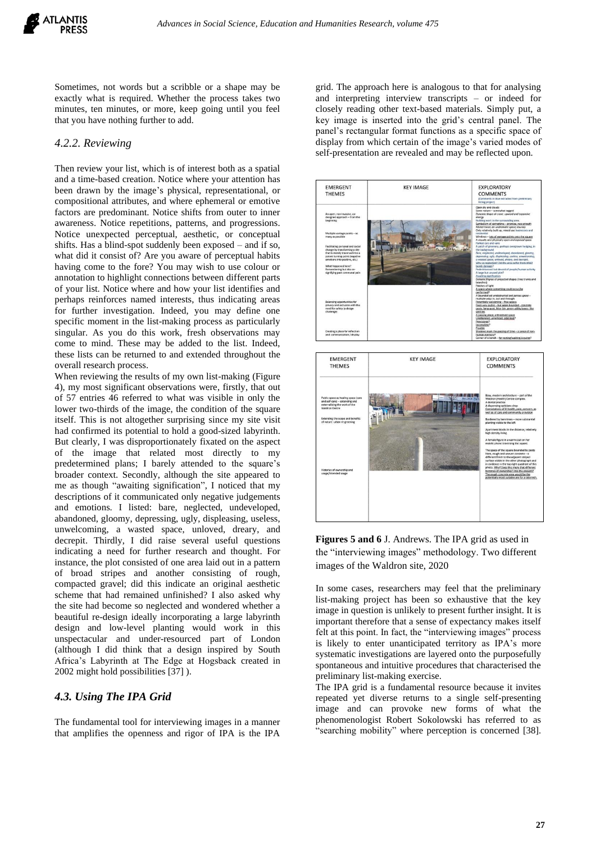Sometimes, not words but a scribble or a shape may be exactly what is required. Whether the process takes two minutes, ten minutes, or more, keep going until you feel that you have nothing further to add.

#### *4.2.2. Reviewing*

Then review your list, which is of interest both as a spatial and a time-based creation. Notice where your attention has been drawn by the image's physical, representational, or compositional attributes, and where ephemeral or emotive factors are predominant. Notice shifts from outer to inner awareness. Notice repetitions, patterns, and progressions. Notice unexpected perceptual, aesthetic, or conceptual shifts. Has a blind-spot suddenly been exposed – and if so, what did it consist of? Are you aware of perceptual habits having come to the fore? You may wish to use colour or annotation to highlight connections between different parts of your list. Notice where and how your list identifies and perhaps reinforces named interests, thus indicating areas for further investigation. Indeed, you may define one specific moment in the list-making process as particularly singular. As you do this work, fresh observations may come to mind. These may be added to the list. Indeed, these lists can be returned to and extended throughout the overall research process.

When reviewing the results of my own list-making (Figure 4), my most significant observations were, firstly, that out of 57 entries 46 referred to what was visible in only the lower two-thirds of the image, the condition of the square itself. This is not altogether surprising since my site visit had confirmed its potential to hold a good-sized labyrinth. But clearly, I was disproportionately fixated on the aspect of the image that related most directly to my predetermined plans; I barely attended to the square's broader context. Secondly, although the site appeared to me as though "awaiting signification", I noticed that my descriptions of it communicated only negative judgements and emotions. I listed: bare, neglected, undeveloped, abandoned, gloomy, depressing, ugly, displeasing, useless, unwelcoming, a wasted space, unloved, dreary, and decrepit. Thirdly, I did raise several useful questions indicating a need for further research and thought. For instance, the plot consisted of one area laid out in a pattern of broad stripes and another consisting of rough, compacted gravel; did this indicate an original aesthetic scheme that had remained unfinished? I also asked why the site had become so neglected and wondered whether a beautiful re-design ideally incorporating a large labyrinth design and low-level planting would work in this unspectacular and under-resourced part of London (although I did think that a design inspired by South Africa's Labyrinth at The Edge at Hogsback created in 2002 might hold possibilities [37] ).

#### *4.3. Using The IPA Grid*

The fundamental tool for interviewing images in a manner that amplifies the openness and rigor of IPA is the IPA

grid. The approach here is analogous to that for analysing and interpreting interview transcripts – or indeed for closely reading other text-based materials. Simply put, a key image is inserted into the grid's central panel. The panel's rectangular format functions as a specific space of display from which certain of the image's varied modes of self-presentation are revealed and may be reflected upon.



**Figures 5 and 6** J. Andrews. The IPA grid as used in the "interviewing images" methodology. Two different images of the Waldron site, 2020

In some cases, researchers may feel that the preliminary list-making project has been so exhaustive that the key image in question is unlikely to present further insight. It is important therefore that a sense of expectancy makes itself felt at this point. In fact, the "interviewing images" process is likely to enter unanticipated territory as IPA's more systematic investigations are layered onto the purposefully spontaneous and intuitive procedures that characterised the preliminary list-making exercise.

The IPA grid is a fundamental resource because it invites repeated yet diverse returns to a single self-presenting image and can provoke new forms of what the phenomenologist Robert Sokolowski has referred to as "searching mobility" where perception is concerned [38].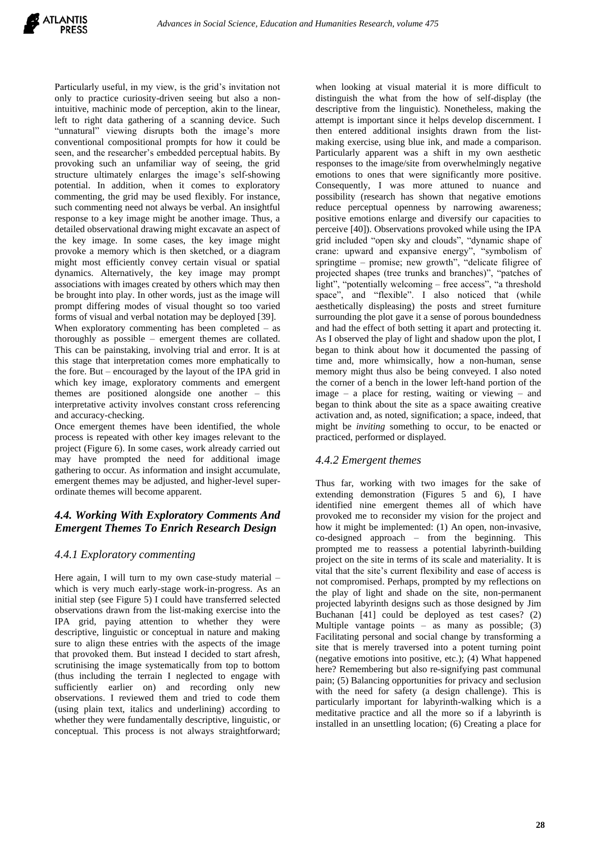Particularly useful, in my view, is the grid's invitation not only to practice curiosity-driven seeing but also a nonintuitive, machinic mode of perception, akin to the linear, left to right data gathering of a scanning device. Such "unnatural" viewing disrupts both the image's more conventional compositional prompts for how it could be seen, and the researcher's embedded perceptual habits. By provoking such an unfamiliar way of seeing, the grid structure ultimately enlarges the image's self-showing potential. In addition, when it comes to exploratory commenting, the grid may be used flexibly. For instance, such commenting need not always be verbal. An insightful response to a key image might be another image. Thus, a detailed observational drawing might excavate an aspect of the key image. In some cases, the key image might provoke a memory which is then sketched, or a diagram might most efficiently convey certain visual or spatial dynamics. Alternatively, the key image may prompt associations with images created by others which may then be brought into play. In other words, just as the image will prompt differing modes of visual thought so too varied forms of visual and verbal notation may be deployed [39]. When exploratory commenting has been completed  $-$  as thoroughly as possible – emergent themes are collated. This can be painstaking, involving trial and error. It is at this stage that interpretation comes more emphatically to the fore. But – encouraged by the layout of the IPA grid in which key image, exploratory comments and emergent themes are positioned alongside one another – this interpretative activity involves constant cross referencing

and accuracy-checking. Once emergent themes have been identified, the whole process is repeated with other key images relevant to the project (Figure 6). In some cases, work already carried out may have prompted the need for additional image gathering to occur. As information and insight accumulate, emergent themes may be adjusted, and higher-level superordinate themes will become apparent.

# *4.4. Working With Exploratory Comments And Emergent Themes To Enrich Research Design*

## *4.4.1 Exploratory commenting*

Here again, I will turn to my own case-study material – which is very much early-stage work-in-progress. As an initial step (see Figure 5) I could have transferred selected observations drawn from the list-making exercise into the IPA grid, paying attention to whether they were descriptive, linguistic or conceptual in nature and making sure to align these entries with the aspects of the image that provoked them. But instead I decided to start afresh, scrutinising the image systematically from top to bottom (thus including the terrain I neglected to engage with sufficiently earlier on) and recording only new observations. I reviewed them and tried to code them (using plain text, italics and underlining) according to whether they were fundamentally descriptive, linguistic, or conceptual. This process is not always straightforward;

when looking at visual material it is more difficult to distinguish the what from the how of self-display (the descriptive from the linguistic). Nonetheless, making the attempt is important since it helps develop discernment. I then entered additional insights drawn from the listmaking exercise, using blue ink, and made a comparison. Particularly apparent was a shift in my own aesthetic responses to the image/site from overwhelmingly negative emotions to ones that were significantly more positive. Consequently, I was more attuned to nuance and possibility (research has shown that negative emotions reduce perceptual openness by narrowing awareness; positive emotions enlarge and diversify our capacities to perceive [40]). Observations provoked while using the IPA grid included "open sky and clouds", "dynamic shape of crane: upward and expansive energy", "symbolism of springtime – promise; new growth", "delicate filigree of projected shapes (tree trunks and branches)", "patches of light", "potentially welcoming – free access", "a threshold space", and "flexible". I also noticed that (while aesthetically displeasing) the posts and street furniture surrounding the plot gave it a sense of porous boundedness and had the effect of both setting it apart and protecting it. As I observed the play of light and shadow upon the plot, I began to think about how it documented the passing of time and, more whimsically, how a non-human, sense memory might thus also be being conveyed. I also noted the corner of a bench in the lower left-hand portion of the image – a place for resting, waiting or viewing – and began to think about the site as a space awaiting creative activation and, as noted, signification; a space, indeed, that might be *inviting* something to occur, to be enacted or practiced, performed or displayed.

# *4.4.2 Emergent themes*

Thus far, working with two images for the sake of extending demonstration (Figures 5 and 6), I have identified nine emergent themes all of which have provoked me to reconsider my vision for the project and how it might be implemented: (1) An open, non-invasive, co-designed approach – from the beginning. This prompted me to reassess a potential labyrinth-building project on the site in terms of its scale and materiality. It is vital that the site's current flexibility and ease of access is not compromised. Perhaps, prompted by my reflections on the play of light and shade on the site, non-permanent projected labyrinth designs such as those designed by Jim Buchanan [41] could be deployed as test cases? (2) Multiple vantage points – as many as possible; (3) Facilitating personal and social change by transforming a site that is merely traversed into a potent turning point (negative emotions into positive, etc.); (4) What happened here? Remembering but also re-signifying past communal pain; (5) Balancing opportunities for privacy and seclusion with the need for safety (a design challenge). This is particularly important for labyrinth-walking which is a meditative practice and all the more so if a labyrinth is installed in an unsettling location; (6) Creating a place for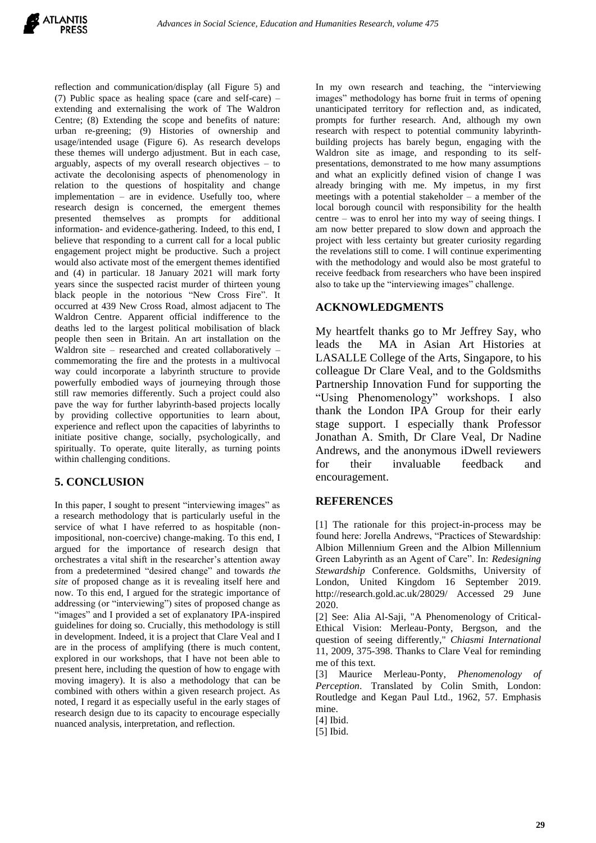reflection and communication/display (all Figure 5) and (7) Public space as healing space (care and self-care) – extending and externalising the work of The Waldron Centre; (8) Extending the scope and benefits of nature: urban re-greening; (9) Histories of ownership and usage/intended usage (Figure 6). As research develops these themes will undergo adjustment. But in each case, arguably, aspects of my overall research objectives – to activate the decolonising aspects of phenomenology in relation to the questions of hospitality and change implementation – are in evidence. Usefully too, where research design is concerned, the emergent themes presented themselves as prompts for additional information- and evidence-gathering. Indeed, to this end, I believe that responding to a current call for a local public engagement project might be productive. Such a project would also activate most of the emergent themes identified and (4) in particular. 18 January 2021 will mark forty years since the suspected racist murder of thirteen young black people in the notorious "New Cross Fire". It occurred at 439 New Cross Road, almost adjacent to The Waldron Centre. Apparent official indifference to the deaths led to the largest political mobilisation of black people then seen in Britain. An art installation on the Waldron site – researched and created collaboratively – commemorating the fire and the protests in a multivocal way could incorporate a labyrinth structure to provide powerfully embodied ways of journeying through those still raw memories differently. Such a project could also pave the way for further labyrinth-based projects locally by providing collective opportunities to learn about, experience and reflect upon the capacities of labyrinths to initiate positive change, socially, psychologically, and spiritually. To operate, quite literally, as turning points within challenging conditions.

# **5. CONCLUSION**

In this paper, I sought to present "interviewing images" as a research methodology that is particularly useful in the service of what I have referred to as hospitable (nonimpositional, non-coercive) change-making. To this end, I argued for the importance of research design that orchestrates a vital shift in the researcher's attention away from a predetermined "desired change" and towards *the site* of proposed change as it is revealing itself here and now. To this end, I argued for the strategic importance of addressing (or "interviewing") sites of proposed change as "images" and I provided a set of explanatory IPA-inspired guidelines for doing so. Crucially, this methodology is still in development. Indeed, it is a project that Clare Veal and I are in the process of amplifying (there is much content, explored in our workshops, that I have not been able to present here, including the question of how to engage with moving imagery). It is also a methodology that can be combined with others within a given research project. As noted, I regard it as especially useful in the early stages of research design due to its capacity to encourage especially nuanced analysis, interpretation, and reflection.

In my own research and teaching, the "interviewing images" methodology has borne fruit in terms of opening unanticipated territory for reflection and, as indicated, prompts for further research. And, although my own research with respect to potential community labyrinthbuilding projects has barely begun, engaging with the Waldron site as image, and responding to its selfpresentations, demonstrated to me how many assumptions and what an explicitly defined vision of change I was already bringing with me. My impetus, in my first meetings with a potential stakeholder – a member of the local borough council with responsibility for the health centre – was to enrol her into my way of seeing things. I am now better prepared to slow down and approach the project with less certainty but greater curiosity regarding the revelations still to come. I will continue experimenting with the methodology and would also be most grateful to receive feedback from researchers who have been inspired also to take up the "interviewing images" challenge.

# **ACKNOWLEDGMENTS**

My heartfelt thanks go to Mr Jeffrey Say, who leads the MA in Asian Art Histories at LASALLE College of the Arts, Singapore, to his colleague Dr Clare Veal, and to the Goldsmiths Partnership Innovation Fund for supporting the "Using Phenomenology" workshops. I also thank the London IPA Group for their early stage support. I especially thank Professor Jonathan A. Smith, Dr Clare Veal, Dr Nadine Andrews, and the anonymous iDwell reviewers for their invaluable feedback and encouragement.

# **REFERENCES**

[1] The rationale for this project-in-process may be found here: Jorella Andrews, "Practices of Stewardship: Albion Millennium Green and the Albion Millennium Green Labyrinth as an Agent of Care". In: *Redesigning Stewardship* Conference. Goldsmiths, University of London, United Kingdom 16 September 2019. http://research.gold.ac.uk/28029/ Accessed 29 June 2020.

[2] See: Alia Al-Saji, "A Phenomenology of Critical-Ethical Vision: Merleau-Ponty, Bergson, and the question of seeing differently," *Chiasmi International* 11, 2009, 375-398. Thanks to Clare Veal for reminding me of this text.

[3] Maurice Merleau-Ponty, *Phenomenology of Perception*. Translated by Colin Smith, London: Routledge and Kegan Paul Ltd., 1962, 57. Emphasis mine.

[4] Ibid.

[5] Ibid.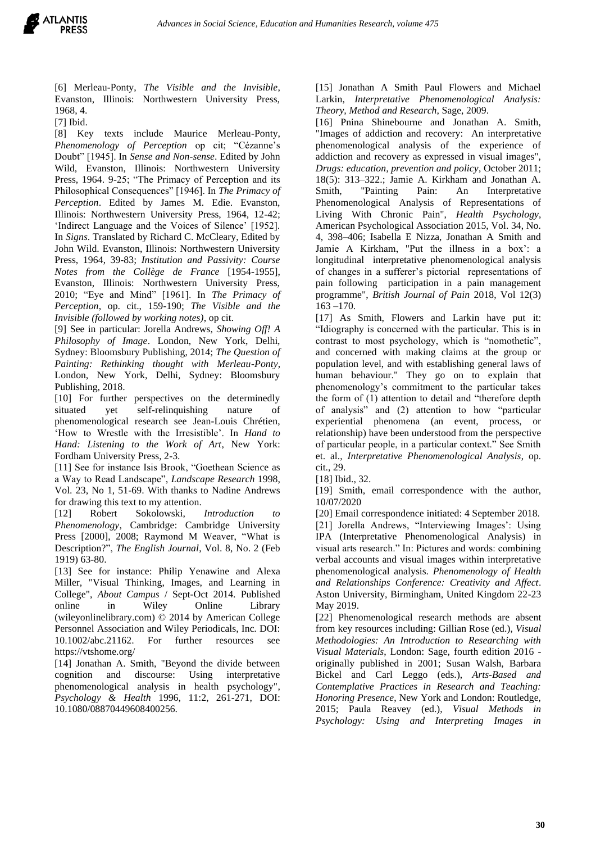

[6] Merleau-Ponty, *The Visible and the Invisible*, Evanston, Illinois: Northwestern University Press, 1968, 4.

[7] Ibid.

[8] Key texts include Maurice Merleau-Ponty, *Phenomenology of Perception* op cit; "Cézanne's Doubt" [1945]. In *Sense and Non-sense*. Edited by John Wild, Evanston, Illinois: Northwestern University Press, 1964. 9-25; "The Primacy of Perception and its Philosophical Consequences" [1946]. In *The Primacy of Perception*. Edited by James M. Edie. Evanston, Illinois: Northwestern University Press, 1964, 12-42; 'Indirect Language and the Voices of Silence' [1952]. In *Signs*. Translated by Richard C. McCleary, Edited by John Wild. Evanston, Illinois: Northwestern University Press, 1964, 39-83; *Institution and Passivity: Course Notes from the Collège de France* [1954-1955], Evanston, Illinois: Northwestern University Press, 2010; "Eye and Mind" [1961]. In *The Primacy of Perception*, op. cit., 159-190; *The Visible and the Invisible (followed by working notes)*, op cit.

[9] See in particular: Jorella Andrews, *Showing Off! A Philosophy of Image*. London, New York, Delhi, Sydney: Bloomsbury Publishing, 2014; *The Question of Painting: Rethinking thought with Merleau-Ponty*, London, New York, Delhi, Sydney: Bloomsbury Publishing, 2018.

[10] For further perspectives on the determinedly situated yet self-relinquishing nature of phenomenological research see Jean-Louis Chrétien, 'How to Wrestle with the Irresistible'. In *Hand to Hand: Listening to the Work of Art*, New York: Fordham University Press, 2-3.

[11] See for instance Isis Brook, "Goethean Science as a Way to Read Landscape", *Landscape Research* 1998, Vol. 23, No 1, 51-69. With thanks to Nadine Andrews for drawing this text to my attention.

[12] Robert Sokolowski, *Introduction to Phenomenology*, Cambridge: Cambridge University Press [2000], 2008; Raymond M Weaver, "What is Description?", *The English Journal*, Vol. 8, No. 2 (Feb 1919) 63-80.

[13] See for instance: Philip Yenawine and Alexa Miller, "Visual Thinking, Images, and Learning in College", *About Campus* / Sept-Oct 2014. Published online in Wiley Online Library (wileyonlinelibrary.com) © 2014 by American College Personnel Association and Wiley Periodicals, Inc. DOI:  $10.1002/abc.21162$ . For further resources https://vtshome.org/

[14] Jonathan A. Smith, "Beyond the divide between cognition and discourse: Using interpretative phenomenological analysis in health psychology", *Psychology & Health* 1996, 11:2, 261-271, DOI: 10.1080/08870449608400256.

[15] Jonathan A Smith Paul Flowers and Michael Larkin, *Interpretative Phenomenological Analysis: Theory, Method and Research*, Sage, 2009.

[16] Pnina Shinebourne and Jonathan A. Smith, "Images of addiction and recovery: An interpretative phenomenological analysis of the experience of addiction and recovery as expressed in visual images", *Drugs: education, prevention and policy*, October 2011; 18(5): 313–322.; Jamie A. Kirkham and Jonathan A. Smith, "Painting Pain: An Interpretative Phenomenological Analysis of Representations of Living With Chronic Pain", *Health Psychology*, American Psychological Association 2015, Vol. 34, No. 4, 398–406; Isabella E Nizza, Jonathan A Smith and Jamie A Kirkham, "Put the illness in a box': a longitudinal interpretative phenomenological analysis of changes in a sufferer's pictorial representations of pain following participation in a pain management programme", *British Journal of Pain* 2018, Vol 12(3) 163 –170.

[17] As Smith, Flowers and Larkin have put it: "Idiography is concerned with the particular. This is in contrast to most psychology, which is "nomothetic", and concerned with making claims at the group or population level, and with establishing general laws of human behaviour." They go on to explain that phenomenology's commitment to the particular takes the form of (1) attention to detail and "therefore depth of analysis" and (2) attention to how "particular experiential phenomena (an event, process, or relationship) have been understood from the perspective of particular people, in a particular context." See Smith et. al., *Interpretative Phenomenological Analysis*, op. cit., 29.

[18] Ibid., 32.

[19] Smith, email correspondence with the author, 10/07/2020

[20] Email correspondence initiated: 4 September 2018. [21] Jorella Andrews, "Interviewing Images': Using IPA (Interpretative Phenomenological Analysis) in visual arts research." In: Pictures and words: combining verbal accounts and visual images within interpretative phenomenological analysis. *Phenomenology of Health and Relationships Conference: Creativity and Affect*. Aston University, Birmingham, United Kingdom 22-23 May 2019.

[22] Phenomenological research methods are absent from key resources including: Gillian Rose (ed.), *Visual Methodologies: An Introduction to Researching with Visual Materials*, London: Sage, fourth edition 2016 originally published in 2001; Susan Walsh, Barbara Bickel and Carl Leggo (eds.), *Arts-Based and Contemplative Practices in Research and Teaching: Honoring Presence*, New York and London: Routledge, 2015; Paula Reavey (ed.), *Visual Methods in Psychology: Using and Interpreting Images in*